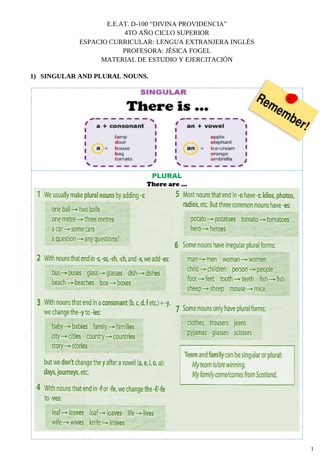# E.E.AT. D-100 "DIVINA PROVIDENCIA" 4TO AÑO CICLO SUPERIOR ESPACIO CURRICULAR: LENGUA EXTRANJERA INGLÉS PROFESORA: JÉSICA FOGEL MATERIAL DE ESTUDIO Y EJERCITACIÓN

# 1) SINGULAR AND PLURAL NOUNS.

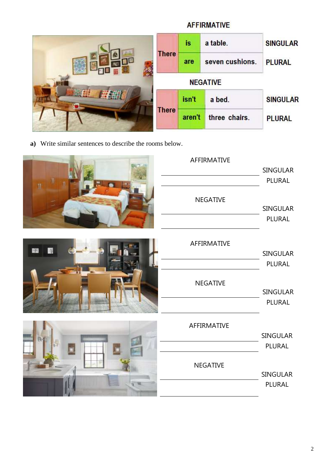|                 | is     | a table.        | <b>SINGULAR</b> |
|-----------------|--------|-----------------|-----------------|
| <b>There</b>    | are    | seven cushions. | <b>PLURAL</b>   |
| <b>NEGATIVE</b> |        |                 |                 |
|                 | isn't  | a bed.          | <b>SINGULAR</b> |
| <b>There</b>    | aren't | three chairs.   | <b>PLURAL</b>   |

**AFFIRMATIVE** 

**a)** Write similar sentences to describe the rooms below.

|   | AFFIRMATIVE     | <b>SINGULAR</b>              |
|---|-----------------|------------------------------|
| n | NEGATIVE        | PLURAL<br>SINGULAR<br>PLURAL |
|   | AFFIRMATIVE     | SINGULAR                     |
|   | <b>NEGATIVE</b> | PLURAL<br>SINGULAR<br>PLURAL |
|   | AFFIRMATIVE     | SINGULAR<br>PLURAL           |
|   | <b>NEGATIVE</b> | <b>SINGULAR</b><br>PLURAL    |

#### 2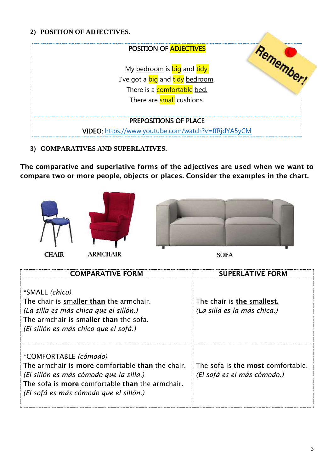## **2) POSITION OF ADJECTIVES.**

| POSITION OF <b>ADJECTIVES</b>                                                                                                      |  |
|------------------------------------------------------------------------------------------------------------------------------------|--|
| My bedroom is big and tidy.<br>I've got a <b>big</b> and tidy bedroom.<br>There is a comfortable bed.<br>There are small cushions. |  |
| <b>PREPOSITIONS OF PLACE</b><br>VIDEO: https://www.youtube.com/watch?v=ffRjdYA5yCM                                                 |  |

## **3) COMPARATIVES AND SUPERLATIVES.**

**The comparative and superlative forms of the adjectives are used when we want to compare two or more people, objects or places. Consider the examples in the chart.** 





**CHAIR** 

**ARMCHAIR** 



 $\mathcal{P}^{\mathcal{D}_{\mathcal{D}_{\mathcal{A}}}}$ 

**SOFA** 

| <b>COMPARATIVE FORM</b>                                                                                                                                                                                                  | <b>SUPERLATIVE FORM</b>                                          |
|--------------------------------------------------------------------------------------------------------------------------------------------------------------------------------------------------------------------------|------------------------------------------------------------------|
| <i>*SMALL (chico)</i><br>The chair is smaller than the armchair.<br>(La silla es más chica que el sillón.)<br>The armchair is smaller than the sofa.<br>(El sillón es más chico que el sofá.)                            | The chair is the smallest.<br>(La silla es la más chica.)        |
| *COMFORTABLE (cómodo)<br>The armchair is more comfortable than the chair.<br>(El sillón es más cómodo que la silla.)<br>The sofa is <b>more</b> comfortable than the armchair.<br>(El sofá es más cómodo que el sillón.) | The sofa is the most comfortable.<br>(El sofá es el más cómodo.) |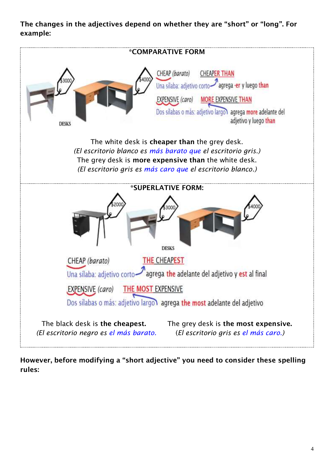# **The changes in the adjectives depend on whether they are "short" or "long". For example:**



**However, before modifying a "short adjective" you need to consider these spelling rules:**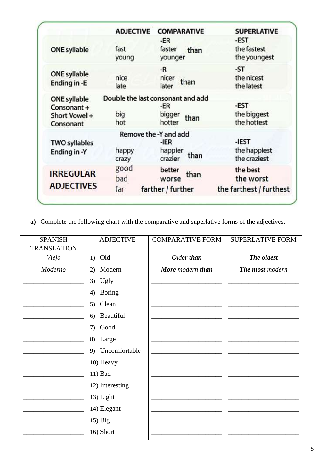|                                           | <b>ADJECTIVE</b> | <b>COMPARATIVE</b>                 | <b>SUPERLATIVE</b>                    |
|-------------------------------------------|------------------|------------------------------------|---------------------------------------|
| <b>ONE syllable</b>                       | fast<br>young    | -ER<br>faster<br>than<br>younger   | -EST<br>the fastest<br>the youngest   |
| <b>ONE syllable</b><br>Ending in -E       | nice<br>late     | -R<br>nicer<br>than<br>later       | -ST<br>the nicest<br>the latest       |
| <b>ONE syllable</b>                       |                  | Double the last consonant and add  |                                       |
| Consonant +<br>Short Vowel +<br>Consonant | big<br>hot       | -ER<br>bigger<br>than<br>hotter    | -EST<br>the biggest<br>the hottest    |
|                                           |                  | Remove the -Y and add              |                                       |
| <b>TWO syllables</b><br>Ending in -Y      | happy<br>crazy   | -IER<br>happier<br>than<br>crazier | -IEST<br>the happiest<br>the craziest |
| <b>IRREGULAR</b>                          | good<br>bad      | better<br>than<br>worse            | the best<br>the worst                 |
| <b>ADJECTIVES</b>                         | far              | farther / further                  | the farthest / furthest               |

a) Complete the following chart with the comparative and superlative forms of the adjectives.

| <b>SPANISH</b><br><b>TRANSLATION</b> | <b>ADJECTIVE</b>    | <b>COMPARATIVE FORM</b> | <b>SUPERLATIVE FORM</b> |
|--------------------------------------|---------------------|-------------------------|-------------------------|
| Viejo                                | $1)$ Old            | Older than              | The oldest              |
| Moderno                              | Modern<br>2)        | More modern than        | The most modern         |
|                                      | 3) Ugly             |                         |                         |
|                                      | <b>Boring</b><br>4) |                         |                         |
|                                      | Clean<br>5)         |                         |                         |
|                                      | Beautiful<br>6)     |                         |                         |
|                                      | Good<br>(7)         |                         |                         |
|                                      | 8) Large            |                         |                         |
|                                      | 9) Uncomfortable    |                         |                         |
|                                      | 10) Heavy           |                         |                         |
|                                      | 11) Bad             |                         |                         |
|                                      | 12) Interesting     |                         |                         |
|                                      | 13) Light           |                         |                         |
|                                      | 14) Elegant         |                         |                         |
|                                      | $15)$ Big           |                         |                         |
|                                      | 16) Short           |                         |                         |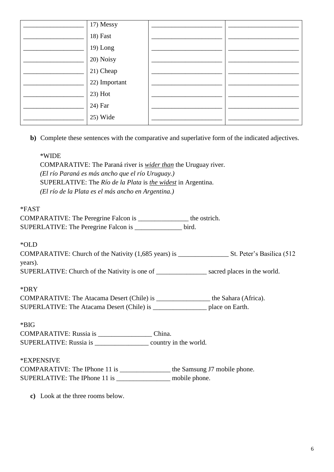| 17) Messy     |  |
|---------------|--|
| 18) Fast      |  |
| 19) Long      |  |
| 20) Noisy     |  |
| 21) Cheap     |  |
| 22) Important |  |
| 23) Hot       |  |
| 24) Far       |  |
| 25) Wide      |  |

**b)** Complete these sentences with the comparative and superlative form of the indicated adjectives.

#### \*WIDE

COMPARATIVE: The Paraná river is *wider than* the Uruguay river. *(El río Paraná es más ancho que el río Uruguay.)* SUPERLATIVE: The *Río de la Plata* is *the widest* in Argentina. *(El río de la Plata es el más ancho en Argentina.)*

### \*FAST

COMPARATIVE: The Peregrine Falcon is the ostrich. SUPERLATIVE: The Peregrine Falcon is \_\_\_\_\_\_\_\_\_\_\_\_\_\_ bird.

### \*OLD

COMPARATIVE: Church of the Nativity (1,685 years) is \_\_\_\_\_\_\_\_\_\_\_\_\_\_\_ St. Peter's Basilica (512 years).

SUPERLATIVE: Church of the Nativity is one of \_\_\_\_\_\_\_\_\_\_\_\_\_\_\_ sacred places in the world.

### \*DRY

| COMPARATIVE: The Atacama Desert (Chile) is | the Sahara (Africa). |
|--------------------------------------------|----------------------|
| SUPERLATIVE: The Atacama Desert (Chile) is | place on Earth.      |

\*BIG

COMPARATIVE: Russia is \_\_\_\_\_\_\_\_\_\_\_\_\_\_\_\_ China. SUPERLATIVE: Russia is \_\_\_\_\_\_\_\_\_\_\_\_\_\_\_\_ country in the world.

# \*EXPENSIVE

COMPARATIVE: The IPhone 11 is \_\_\_\_\_\_\_\_\_\_\_\_\_\_\_ the Samsung J7 mobile phone. SUPERLATIVE: The IPhone 11 is \_\_\_\_\_\_\_\_\_\_\_\_\_\_\_\_\_\_\_ mobile phone.

**c)** Look at the three rooms below.